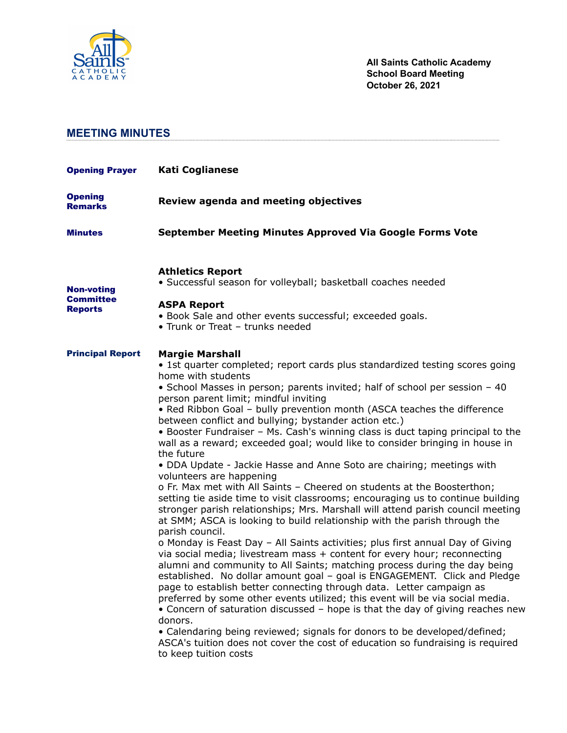

# **MEETING MINUTES**

| <b>Opening Prayer</b>                                   | <b>Kati Coglianese</b>                                                                                                                                                                                                                                                                                                                                                                                                                                                                                                                                                                                                                                                                                                                                                                                                                                                                                                                                                                                                                                                                                                                                                                                                                                                                                                                                                                                                                                                                                                                                                                                                                                                                                                                                                                                |
|---------------------------------------------------------|-------------------------------------------------------------------------------------------------------------------------------------------------------------------------------------------------------------------------------------------------------------------------------------------------------------------------------------------------------------------------------------------------------------------------------------------------------------------------------------------------------------------------------------------------------------------------------------------------------------------------------------------------------------------------------------------------------------------------------------------------------------------------------------------------------------------------------------------------------------------------------------------------------------------------------------------------------------------------------------------------------------------------------------------------------------------------------------------------------------------------------------------------------------------------------------------------------------------------------------------------------------------------------------------------------------------------------------------------------------------------------------------------------------------------------------------------------------------------------------------------------------------------------------------------------------------------------------------------------------------------------------------------------------------------------------------------------------------------------------------------------------------------------------------------------|
| <b>Opening</b><br><b>Remarks</b>                        | Review agenda and meeting objectives                                                                                                                                                                                                                                                                                                                                                                                                                                                                                                                                                                                                                                                                                                                                                                                                                                                                                                                                                                                                                                                                                                                                                                                                                                                                                                                                                                                                                                                                                                                                                                                                                                                                                                                                                                  |
| <b>Minutes</b>                                          | September Meeting Minutes Approved Via Google Forms Vote                                                                                                                                                                                                                                                                                                                                                                                                                                                                                                                                                                                                                                                                                                                                                                                                                                                                                                                                                                                                                                                                                                                                                                                                                                                                                                                                                                                                                                                                                                                                                                                                                                                                                                                                              |
| <b>Non-voting</b><br><b>Committee</b><br><b>Reports</b> | <b>Athletics Report</b><br>· Successful season for volleyball; basketball coaches needed<br><b>ASPA Report</b><br>• Book Sale and other events successful; exceeded goals.<br>• Trunk or Treat - trunks needed                                                                                                                                                                                                                                                                                                                                                                                                                                                                                                                                                                                                                                                                                                                                                                                                                                                                                                                                                                                                                                                                                                                                                                                                                                                                                                                                                                                                                                                                                                                                                                                        |
| <b>Principal Report</b>                                 | <b>Margie Marshall</b><br>• 1st quarter completed; report cards plus standardized testing scores going<br>home with students<br>• School Masses in person; parents invited; half of school per session - 40<br>person parent limit; mindful inviting<br>• Red Ribbon Goal - bully prevention month (ASCA teaches the difference<br>between conflict and bullying; bystander action etc.)<br>• Booster Fundraiser - Ms. Cash's winning class is duct taping principal to the<br>wall as a reward; exceeded goal; would like to consider bringing in house in<br>the future<br>. DDA Update - Jackie Hasse and Anne Soto are chairing; meetings with<br>volunteers are happening<br>o Fr. Max met with All Saints - Cheered on students at the Boosterthon;<br>setting tie aside time to visit classrooms; encouraging us to continue building<br>stronger parish relationships; Mrs. Marshall will attend parish council meeting<br>at SMM; ASCA is looking to build relationship with the parish through the<br>parish council.<br>o Monday is Feast Day - All Saints activities; plus first annual Day of Giving<br>via social media; livestream mass + content for every hour; reconnecting<br>alumni and community to All Saints; matching process during the day being<br>established. No dollar amount goal - goal is ENGAGEMENT. Click and Pledge<br>page to establish better connecting through data. Letter campaign as<br>preferred by some other events utilized; this event will be via social media.<br>• Concern of saturation discussed - hope is that the day of giving reaches new<br>donors.<br>• Calendaring being reviewed; signals for donors to be developed/defined;<br>ASCA's tuition does not cover the cost of education so fundraising is required<br>to keep tuition costs |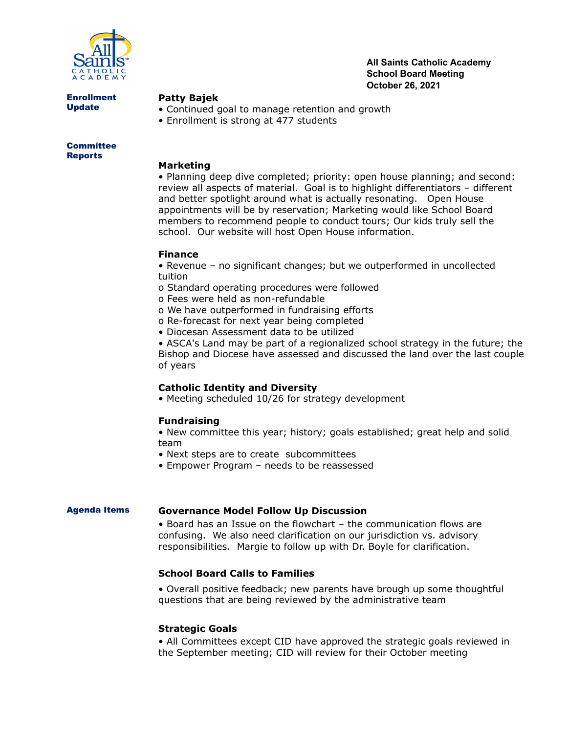

**All Saints Catholic Academy School Board Meeting October 26, 2021**

Enrollment Update

### **Patty Bajek**

- Continued goal to manage retention and growth
- Enrollment is strong at 477 students

**Committee** Reports

#### **Marketing**

• Planning deep dive completed; priority: open house planning; and second: review all aspects of material. Goal is to highlight differentiators – different and better spotlight around what is actually resonating. Open House appointments will be by reservation; Marketing would like School Board members to recommend people to conduct tours; Our kids truly sell the school. Our website will host Open House information.

## **Finance**

• Revenue – no significant changes; but we outperformed in uncollected tuition

- o Standard operating procedures were followed
- o Fees were held as non-refundable
- o We have outperformed in fundraising efforts
- o Re-forecast for next year being completed
- Diocesan Assessment data to be utilized

• ASCA's Land may be part of a regionalized school strategy in the future; the Bishop and Diocese have assessed and discussed the land over the last couple of years

#### **Catholic Identity and Diversity**

• Meeting scheduled 10/26 for strategy development

#### **Fundraising**

• New committee this year; history; goals established; great help and solid team

- Next steps are to create subcommittees
- Empower Program needs to be reassessed

#### Agenda Items **Governance Model Follow Up Discussion**

• Board has an Issue on the flowchart – the communication flows are confusing. We also need clarification on our jurisdiction vs. advisory responsibilities. Margie to follow up with Dr. Boyle for clarification.

# **School Board Calls to Families**

• Overall positive feedback; new parents have brough up some thoughtful questions that are being reviewed by the administrative team

#### **Strategic Goals**

• All Committees except CID have approved the strategic goals reviewed in the September meeting; CID will review for their October meeting